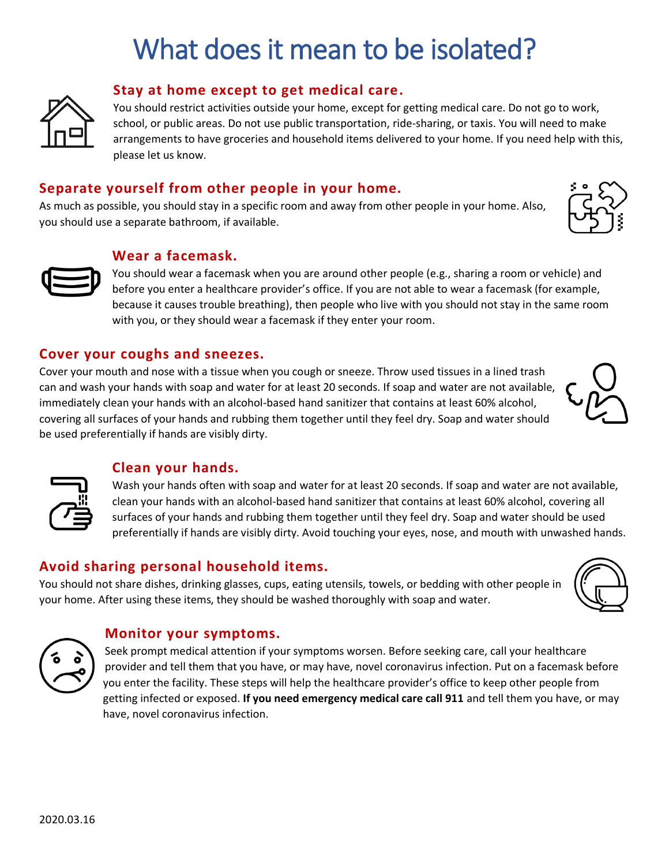# What does it mean to be isolated?



#### **Stay at home except to get medical care.**

You should restrict activities outside your home, except for getting medical care. Do not go to work, school, or public areas. Do not use public transportation, ride-sharing, or taxis. You will need to make arrangements to have groceries and household items delivered to your home. If you need help with this, please let us know.

## **Separate yourself from other people in your home.**

As much as possible, you should stay in a specific room and away from other people in your home. Also, you should use a separate bathroom, if available.



**Wear a facemask.**

You should wear a facemask when you are around other people (e.g., sharing a room or vehicle) and before you enter a healthcare provider's office. If you are not able to wear a facemask (for example, because it causes trouble breathing), then people who live with you should not stay in the same room with you, or they should wear a facemask if they enter your room.

#### **Cover your coughs and sneezes.**

Cover your mouth and nose with a tissue when you cough or sneeze. Throw used tissues in a lined trash can and wash your hands with soap and water for at least 20 seconds. If soap and water are not available, immediately clean your hands with an alcohol-based hand sanitizer that contains at least 60% alcohol, covering all surfaces of your hands and rubbing them together until they feel dry. Soap and water should be used preferentially if hands are visibly dirty.



### **Clean your hands.**

Wash your hands often with soap and water for at least 20 seconds. If soap and water are not available, clean your hands with an alcohol-based hand sanitizer that contains at least 60% alcohol, covering all surfaces of your hands and rubbing them together until they feel dry. Soap and water should be used preferentially if hands are visibly dirty. Avoid touching your eyes, nose, and mouth with unwashed hands.

### **Avoid sharing personal household items.**

You should not share dishes, drinking glasses, cups, eating utensils, towels, or bedding with other people in your home. After using these items, they should be washed thoroughly with soap and water.





#### **Monitor your symptoms.**

Seek prompt medical attention if your symptoms worsen. Before seeking care, call your healthcare provider and tell them that you have, or may have, novel coronavirus infection. Put on a facemask before you enter the facility. These steps will help the healthcare provider's office to keep other people from getting infected or exposed. **If you need emergency medical care call 911** and tell them you have, or may have, novel coronavirus infection.



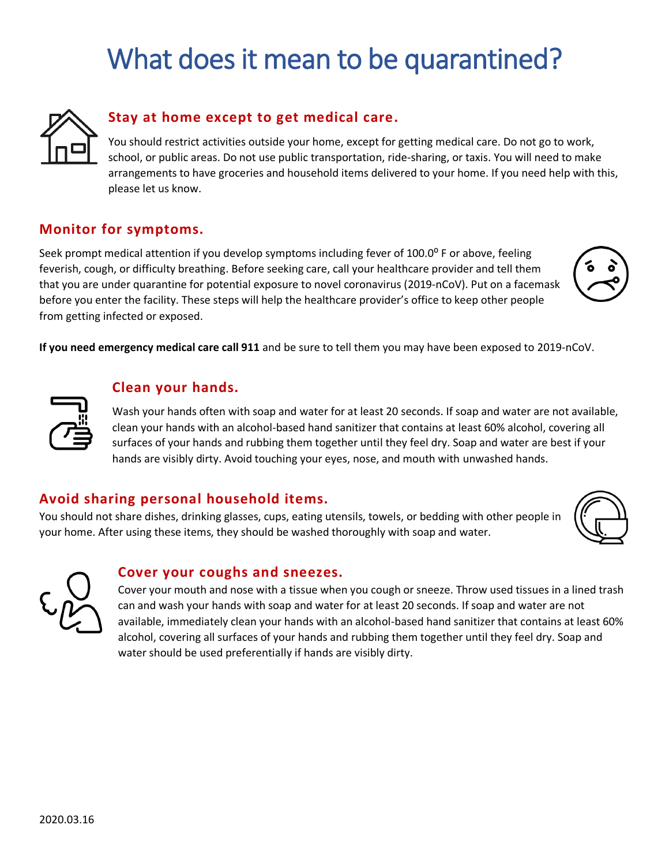# What does it mean to be quarantined?



## **Stay at home except to get medical care.**

You should restrict activities outside your home, except for getting medical care. Do not go to work, school, or public areas. Do not use public transportation, ride-sharing, or taxis. You will need to make arrangements to have groceries and household items delivered to your home. If you need help with this, please let us know.

### **Monitor for symptoms.**

Seek prompt medical attention if you develop symptoms including fever of 100.0 $\degree$  F or above, feeling feverish, cough, or difficulty breathing. Before seeking care, call your healthcare provider and tell them that you are under quarantine for potential exposure to novel coronavirus (2019-nCoV). Put on a facemask before you enter the facility. These steps will help the healthcare provider's office to keep other people from getting infected or exposed.

**If you need emergency medical care call 911** and be sure to tell them you may have been exposed to 2019-nCoV.



#### **Clean your hands.**

Wash your hands often with soap and water for at least 20 seconds. If soap and water are not available, clean your hands with an alcohol-based hand sanitizer that contains at least 60% alcohol, covering all surfaces of your hands and rubbing them together until they feel dry. Soap and water are best if your hands are visibly dirty. Avoid touching your eyes, nose, and mouth with unwashed hands.

### **Avoid sharing personal household items.**

You should not share dishes, drinking glasses, cups, eating utensils, towels, or bedding with other people in your home. After using these items, they should be washed thoroughly with soap and water.





#### **Cover your coughs and sneezes.**

Cover your mouth and nose with a tissue when you cough or sneeze. Throw used tissues in a lined trash can and wash your hands with soap and water for at least 20 seconds. If soap and water are not available, immediately clean your hands with an alcohol-based hand sanitizer that contains at least 60% alcohol, covering all surfaces of your hands and rubbing them together until they feel dry. Soap and water should be used preferentially if hands are visibly dirty.

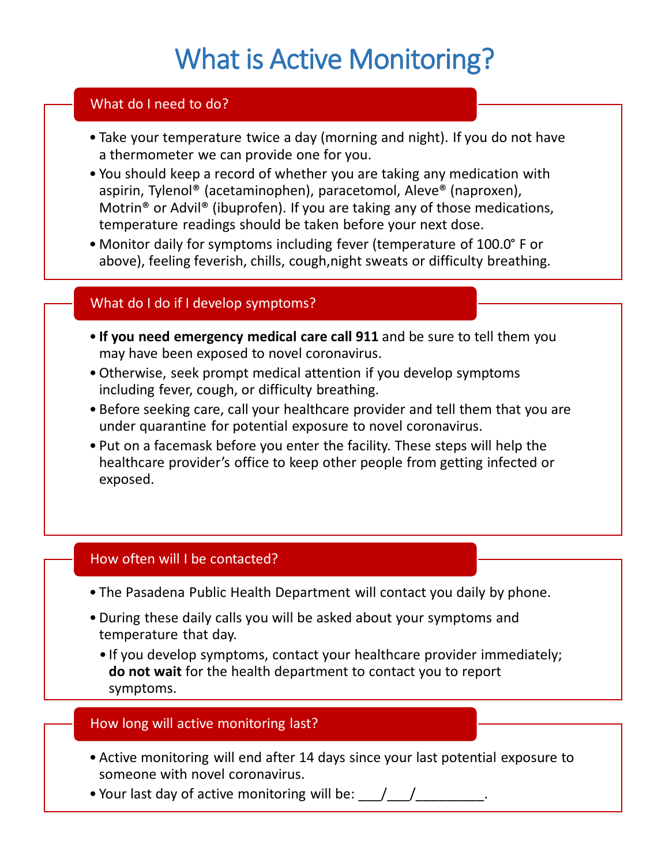# What is Active Monitoring?

# What do I need to do?

- Take your temperature twice a day (morning and night). If you do not have a thermometer we can provide one for you.
- You should keep a record of whether you are taking any medication with aspirin, Tylenol® (acetaminophen), paracetomol, Aleve® (naproxen), Motrin® or Advil® (ibuprofen). If you are taking any of those medications, temperature readings should be taken before your next dose.
- Monitor daily for symptoms including fever (temperature of 100.0° F or above), feeling feverish, chills, cough,night sweats or difficulty breathing.

# What do I do if I develop symptoms?

- **If you need emergency medical care call 911** and be sure to tell them you may have been exposed to novel coronavirus.
- •Otherwise, seek prompt medical attention if you develop symptoms including fever, cough, or difficulty breathing.
- Before seeking care, call your healthcare provider and tell them that you are under quarantine for potential exposure to novel coronavirus.
- Put on a facemask before you enter the facility. These steps will help the healthcare provider's office to keep other people from getting infected or exposed.

# How often will I be contacted?

- The Pasadena Public Health Department will contact you daily by phone.
- During these daily calls you will be asked about your symptoms and temperature that day.
	- If you develop symptoms, contact your healthcare provider immediately; **do not wait** for the health department to contact you to report symptoms.

# How long will active monitoring last?

- Active monitoring will end after 14 days since your last potential exposure to someone with novel coronavirus.
- Your last day of active monitoring will be: \,\,\,\,\,\,\,\,\,\,\,\,\,\,\,\,\,